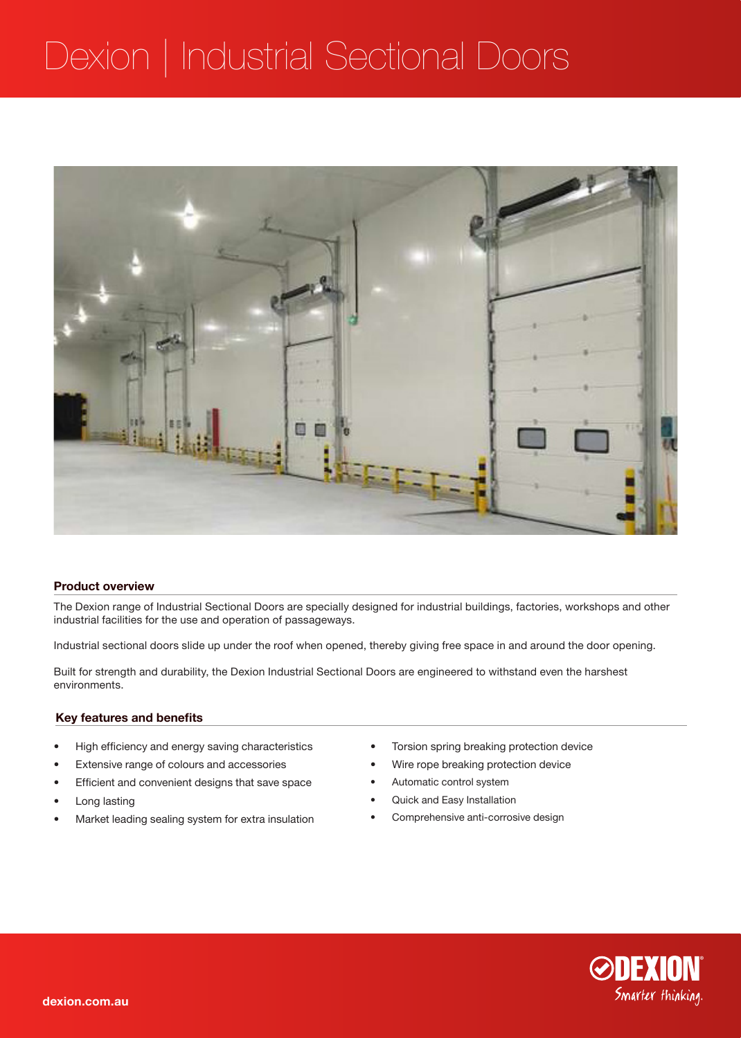## Dexion | Industrial Sectional Doors



#### **Product overview**

The Dexion range of Industrial Sectional Doors are specially designed for industrial buildings, factories, workshops and other industrial facilities for the use and operation of passageways.

Industrial sectional doors slide up under the roof when opened, thereby giving free space in and around the door opening.

Built for strength and durability, the Dexion Industrial Sectional Doors are engineered to withstand even the harshest environments.

#### **Key features and benefits**

- • High efficiency and energy saving characteristics
- • Extensive range of colours and accessories
- • Efficient and convenient designs that save space
- Long lasting
- Market leading sealing system for extra insulation
- • Torsion spring breaking protection device
- Wire rope breaking protection device
- • Automatic control system
- Quick and Easy Installation
- Comprehensive anti-corrosive design